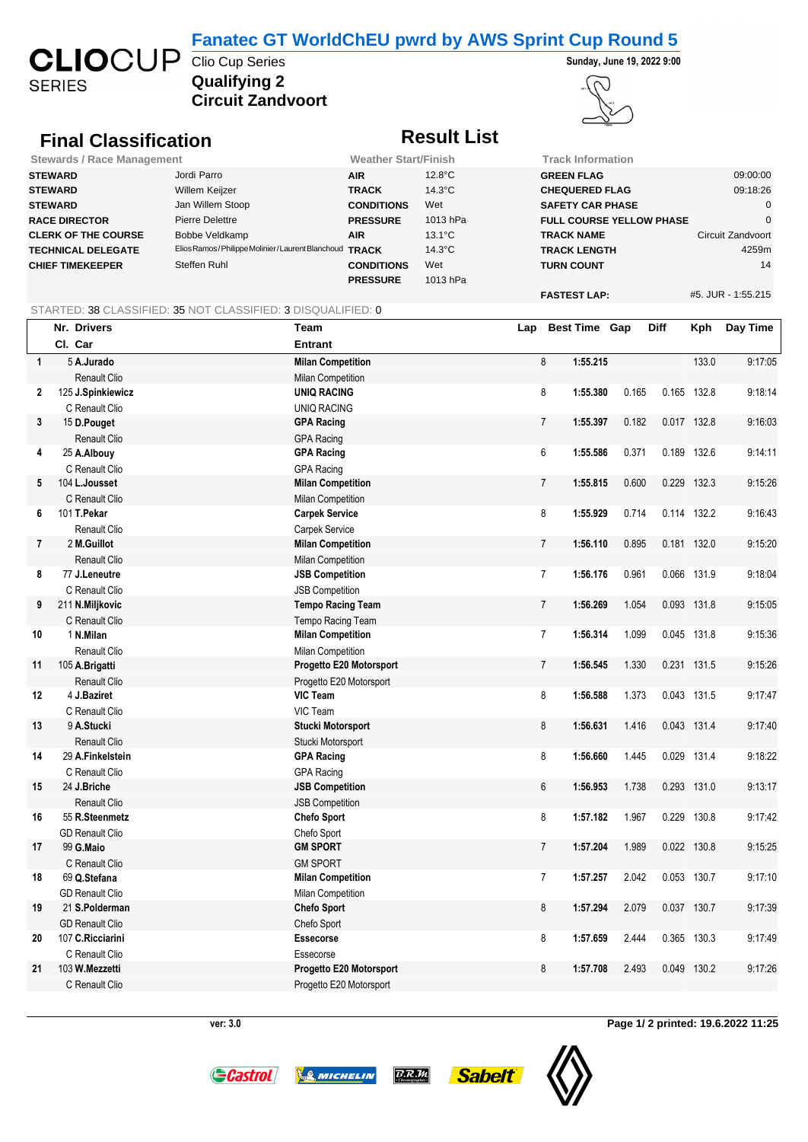#### **Fanatec GT WorldChEU pwrd by AWS Sprint Cup Round 5**

**SERIES** 

## **Qualifying 2 CLIO**CUP Clio Cup Series Sunday AVS Sprint Cup Round 3





# **Circuit Zandvoort**

### **Final Classification Result List**

| <b>Stewards / Race Management</b> | <b>Weather Start/Finish</b>                           |                   | <b>Track Information</b> |                                 |                    |
|-----------------------------------|-------------------------------------------------------|-------------------|--------------------------|---------------------------------|--------------------|
| <b>STEWARD</b>                    | Jordi Parro                                           | <b>AIR</b>        | $12.8^{\circ}$ C         | <b>GREEN FLAG</b>               | 09:00:00           |
| <b>STEWARD</b>                    | Willem Keijzer                                        | <b>TRACK</b>      | $14.3^{\circ}$ C         | <b>CHEQUERED FLAG</b>           | 09:18:26           |
| <b>STEWARD</b>                    | Jan Willem Stoop                                      | <b>CONDITIONS</b> | Wet                      | <b>SAFETY CAR PHASE</b>         |                    |
| <b>RACE DIRECTOR</b>              | Pierre Delettre                                       | <b>PRESSURE</b>   | 1013 hPa                 | <b>FULL COURSE YELLOW PHASE</b> |                    |
| <b>CLERK OF THE COURSE</b>        | Bobbe Veldkamp                                        | <b>AIR</b>        | $13.1^{\circ}$ C         | <b>TRACK NAME</b>               | Circuit Zandvoort  |
| <b>TECHNICAL DELEGATE</b>         | Elios Ramos/Philippe Molinier/Laurent Blanchoud TRACK |                   | $14.3^{\circ}$ C         | <b>TRACK LENGTH</b>             | 4259m              |
| <b>CHIEF TIMEKEEPER</b>           | Steffen Ruhl                                          | <b>CONDITIONS</b> | Wet                      | <b>TURN COUNT</b>               | 14                 |
|                                   |                                                       | <b>PRESSURE</b>   | 1013 hPa                 |                                 |                    |
|                                   |                                                       |                   |                          | <b>FASTEST LAP:</b>             | #5. JUR - 1:55.215 |

#### STARTED: 38 CLASSIFIED: 35 NOT CLASSIFIED: 3 DISQUALIFIED: 0

|                | Nr. Drivers            | Team                     | Lap |                  | <b>Best Time Gap</b> |       | Diff  | Kph         | Day Time |
|----------------|------------------------|--------------------------|-----|------------------|----------------------|-------|-------|-------------|----------|
|                | Cl. Car                | <b>Entrant</b>           |     |                  |                      |       |       |             |          |
| $\mathbf{1}$   | 5 A.Jurado             | <b>Milan Competition</b> |     | 8                | 1:55.215             |       |       | 133.0       | 9:17:05  |
|                | Renault Clio           | <b>Milan Competition</b> |     |                  |                      |       |       |             |          |
| $\mathbf{2}$   | 125 J.Spinkiewicz      | <b>UNIQ RACING</b>       |     | 8                | 1:55.380             | 0.165 |       | 0.165 132.8 | 9:18:14  |
|                | C Renault Clio         | <b>UNIQ RACING</b>       |     |                  |                      |       |       |             |          |
| 3              | 15 D.Pouget            | <b>GPA Racing</b>        |     | $\overline{7}$   | 1:55.397             | 0.182 |       | 0.017 132.8 | 9:16:03  |
|                | Renault Clio           | <b>GPA Racing</b>        |     |                  |                      |       |       |             |          |
| 4              | 25 A.Albouy            | <b>GPA Racing</b>        |     | 6                | 1:55.586             | 0.371 |       | 0.189 132.6 | 9:14:11  |
|                | C Renault Clio         | <b>GPA Racing</b>        |     |                  |                      |       |       |             |          |
| 5              | 104 L.Jousset          | <b>Milan Competition</b> |     | $\overline{7}$   | 1:55.815             | 0.600 | 0.229 | 132.3       | 9:15:26  |
|                | C Renault Clio         | <b>Milan Competition</b> |     |                  |                      |       |       |             |          |
| 6              | 101 T.Pekar            | <b>Carpek Service</b>    |     | 8                | 1:55.929             | 0.714 |       | 0.114 132.2 | 9:16:43  |
|                | Renault Clio           | <b>Carpek Service</b>    |     |                  |                      |       |       |             |          |
| $\overline{7}$ | 2 M.Guillot            | <b>Milan Competition</b> |     | $\overline{7}$   | 1:56.110             | 0.895 |       | 0.181 132.0 | 9:15:20  |
|                | Renault Clio           | Milan Competition        |     |                  |                      |       |       |             |          |
| 8              | 77 J.Leneutre          | <b>JSB Competition</b>   |     | $\overline{7}$   | 1:56.176             | 0.961 |       | 0.066 131.9 | 9:18:04  |
|                | C Renault Clio         | <b>JSB Competition</b>   |     |                  |                      |       |       |             |          |
| 9              | 211 N.Miljkovic        | <b>Tempo Racing Team</b> |     | $\overline{7}$   | 1:56.269             | 1.054 |       | 0.093 131.8 | 9:15:05  |
|                | C Renault Clio         | Tempo Racing Team        |     |                  |                      |       |       |             |          |
| 10             | 1 N.Milan              | <b>Milan Competition</b> |     | $\overline{7}$   | 1:56.314             | 1.099 |       | 0.045 131.8 | 9:15:36  |
|                | Renault Clio           | Milan Competition        |     |                  |                      |       |       |             |          |
| 11             | 105 A.Brigatti         | Progetto E20 Motorsport  |     | $\overline{7}$   | 1:56.545             | 1.330 |       | 0.231 131.5 | 9:15:26  |
|                | Renault Clio           | Progetto E20 Motorsport  |     |                  |                      |       |       |             |          |
| 12             | 4 J.Baziret            | VIC Team                 |     | 8                | 1:56.588             | 1.373 |       | 0.043 131.5 | 9:17:47  |
|                | C Renault Clio         | VIC Team                 |     |                  |                      |       |       |             |          |
| 13             | 9 A.Stucki             | Stucki Motorsport        |     | 8                | 1:56.631             | 1.416 |       | 0.043 131.4 | 9:17:40  |
|                | Renault Clio           | Stucki Motorsport        |     |                  |                      |       |       |             |          |
| 14             | 29 A.Finkelstein       | <b>GPA Racing</b>        |     | 8                | 1:56.660             | 1.445 |       | 0.029 131.4 | 9:18:22  |
|                | C Renault Clio         | <b>GPA Racing</b>        |     |                  |                      |       |       |             |          |
| 15             | 24 J.Briche            | <b>JSB Competition</b>   |     | $\boldsymbol{6}$ | 1:56.953             | 1.738 | 0.293 | 131.0       | 9:13:17  |
|                | Renault Clio           | <b>JSB Competition</b>   |     |                  |                      |       |       |             |          |
| 16             | 55 R.Steenmetz         | <b>Chefo Sport</b>       |     | 8                | 1:57.182             | 1.967 | 0.229 | 130.8       | 9:17:42  |
|                | <b>GD Renault Clio</b> | Chefo Sport              |     |                  |                      |       |       |             |          |
| 17             | 99 G.Maio              | <b>GM SPORT</b>          |     | $\overline{7}$   | 1:57.204             | 1.989 |       | 0.022 130.8 | 9:15:25  |
|                | C Renault Clio         | <b>GM SPORT</b>          |     |                  |                      |       |       |             |          |
| 18             | 69 Q.Stefana           | <b>Milan Competition</b> |     | $\overline{7}$   | 1:57.257             | 2.042 |       | 0.053 130.7 | 9:17:10  |
|                | <b>GD Renault Clio</b> | Milan Competition        |     |                  |                      |       |       |             |          |
| 19             | 21 S.Polderman         | <b>Chefo Sport</b>       |     | 8                | 1:57.294             | 2.079 |       | 0.037 130.7 | 9:17:39  |
|                | <b>GD Renault Clio</b> | Chefo Sport              |     |                  |                      |       |       |             |          |
| 20             | 107 C.Ricciarini       | Essecorse                |     | 8                | 1:57.659             | 2.444 | 0.365 | 130.3       | 9:17:49  |
|                | C Renault Clio         | Essecorse                |     |                  |                      |       |       |             |          |
| 21             | 103 W.Mezzetti         | Progetto E20 Motorsport  |     | 8                | 1:57.708             | 2.493 | 0.049 | 130.2       | 9:17:26  |
|                | C Renault Clio         | Progetto E20 Motorsport  |     |                  |                      |       |       |             |          |







**ver: 3.0 Page 1/ 2 printed: 19.6.2022 11:25**